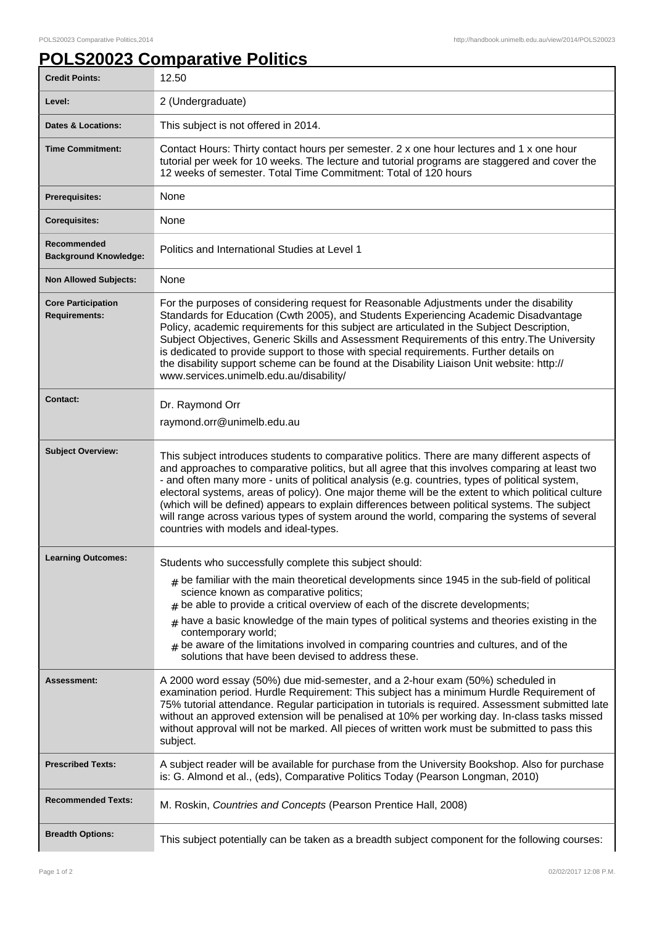## **POLS20023 Comparative Politics**

| <b>Credit Points:</b>                             | 12.50                                                                                                                                                                                                                                                                                                                                                                                                                                                                                                                                                                                                                                                |
|---------------------------------------------------|------------------------------------------------------------------------------------------------------------------------------------------------------------------------------------------------------------------------------------------------------------------------------------------------------------------------------------------------------------------------------------------------------------------------------------------------------------------------------------------------------------------------------------------------------------------------------------------------------------------------------------------------------|
| Level:                                            | 2 (Undergraduate)                                                                                                                                                                                                                                                                                                                                                                                                                                                                                                                                                                                                                                    |
| <b>Dates &amp; Locations:</b>                     | This subject is not offered in 2014.                                                                                                                                                                                                                                                                                                                                                                                                                                                                                                                                                                                                                 |
| <b>Time Commitment:</b>                           | Contact Hours: Thirty contact hours per semester. 2 x one hour lectures and 1 x one hour<br>tutorial per week for 10 weeks. The lecture and tutorial programs are staggered and cover the<br>12 weeks of semester. Total Time Commitment: Total of 120 hours                                                                                                                                                                                                                                                                                                                                                                                         |
| <b>Prerequisites:</b>                             | None                                                                                                                                                                                                                                                                                                                                                                                                                                                                                                                                                                                                                                                 |
| <b>Corequisites:</b>                              | None                                                                                                                                                                                                                                                                                                                                                                                                                                                                                                                                                                                                                                                 |
| Recommended<br><b>Background Knowledge:</b>       | Politics and International Studies at Level 1                                                                                                                                                                                                                                                                                                                                                                                                                                                                                                                                                                                                        |
| <b>Non Allowed Subjects:</b>                      | None                                                                                                                                                                                                                                                                                                                                                                                                                                                                                                                                                                                                                                                 |
| <b>Core Participation</b><br><b>Requirements:</b> | For the purposes of considering request for Reasonable Adjustments under the disability<br>Standards for Education (Cwth 2005), and Students Experiencing Academic Disadvantage<br>Policy, academic requirements for this subject are articulated in the Subject Description,<br>Subject Objectives, Generic Skills and Assessment Requirements of this entry. The University<br>is dedicated to provide support to those with special requirements. Further details on<br>the disability support scheme can be found at the Disability Liaison Unit website: http://<br>www.services.unimelb.edu.au/disability/                                     |
| <b>Contact:</b>                                   | Dr. Raymond Orr                                                                                                                                                                                                                                                                                                                                                                                                                                                                                                                                                                                                                                      |
|                                                   | raymond.orr@unimelb.edu.au                                                                                                                                                                                                                                                                                                                                                                                                                                                                                                                                                                                                                           |
| <b>Subject Overview:</b>                          | This subject introduces students to comparative politics. There are many different aspects of<br>and approaches to comparative politics, but all agree that this involves comparing at least two<br>- and often many more - units of political analysis (e.g. countries, types of political system,<br>electoral systems, areas of policy). One major theme will be the extent to which political culture<br>(which will be defined) appears to explain differences between political systems. The subject<br>will range across various types of system around the world, comparing the systems of several<br>countries with models and ideal-types. |
| <b>Learning Outcomes:</b>                         | Students who successfully complete this subject should:<br>$_{\#}$ be familiar with the main theoretical developments since 1945 in the sub-field of political<br>science known as comparative politics;<br>$#$ be able to provide a critical overview of each of the discrete developments;<br>$_{\text{\#}}$ have a basic knowledge of the main types of political systems and theories existing in the<br>contemporary world;<br>$#$ be aware of the limitations involved in comparing countries and cultures, and of the<br>solutions that have been devised to address these.                                                                   |
| <b>Assessment:</b>                                | A 2000 word essay (50%) due mid-semester, and a 2-hour exam (50%) scheduled in<br>examination period. Hurdle Requirement: This subject has a minimum Hurdle Requirement of<br>75% tutorial attendance. Regular participation in tutorials is required. Assessment submitted late<br>without an approved extension will be penalised at 10% per working day. In-class tasks missed<br>without approval will not be marked. All pieces of written work must be submitted to pass this<br>subject.                                                                                                                                                      |
| <b>Prescribed Texts:</b>                          | A subject reader will be available for purchase from the University Bookshop. Also for purchase<br>is: G. Almond et al., (eds), Comparative Politics Today (Pearson Longman, 2010)                                                                                                                                                                                                                                                                                                                                                                                                                                                                   |
| <b>Recommended Texts:</b>                         | M. Roskin, Countries and Concepts (Pearson Prentice Hall, 2008)                                                                                                                                                                                                                                                                                                                                                                                                                                                                                                                                                                                      |
| <b>Breadth Options:</b>                           | This subject potentially can be taken as a breadth subject component for the following courses:                                                                                                                                                                                                                                                                                                                                                                                                                                                                                                                                                      |